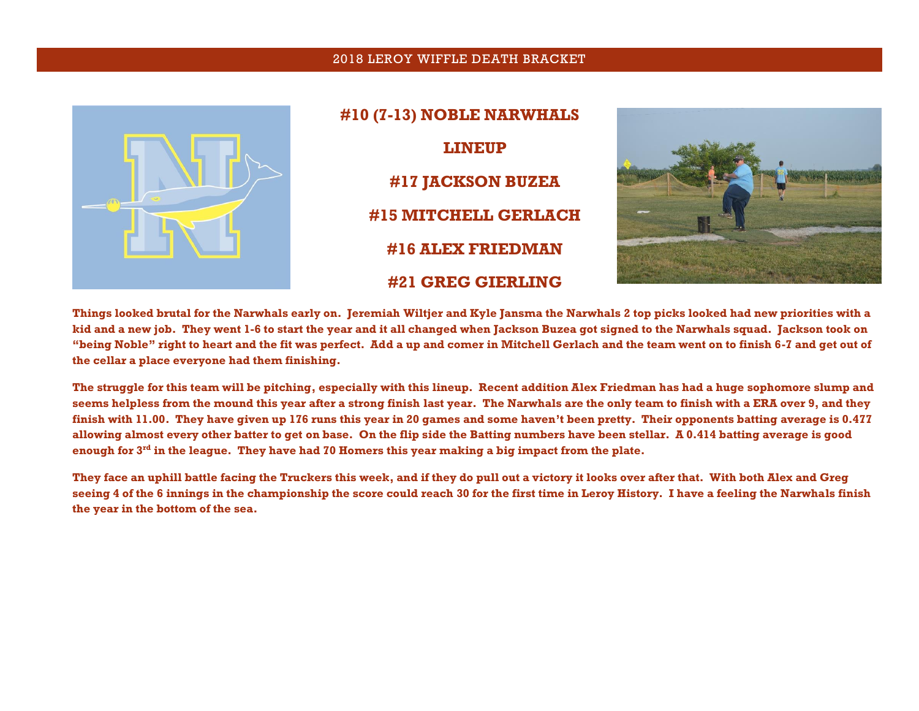## 2018 LEROY WIFFLE DEATH BRACKET



**#10 (7-13) NOBLE NARWHALS LINEUP #17 JACKSON BUZEA #15 MITCHELL GERLACH #16 ALEX FRIEDMAN #21 GREG GIERLING**



**Things looked brutal for the Narwhals early on. Jeremiah Wiltjer and Kyle Jansma the Narwhals 2 top picks looked had new priorities with a kid and a new job. They went 1-6 to start the year and it all changed when Jackson Buzea got signed to the Narwhals squad. Jackson took on "being Noble" right to heart and the fit was perfect. Add a up and comer in Mitchell Gerlach and the team went on to finish 6-7 and get out of the cellar a place everyone had them finishing.** 

**The struggle for this team will be pitching, especially with this lineup. Recent addition Alex Friedman has had a huge sophomore slump and seems helpless from the mound this year after a strong finish last year. The Narwhals are the only team to finish with a ERA over 9, and they finish with 11.00. They have given up 176 runs this year in 20 games and some haven't been pretty. Their opponents batting average is 0.477 allowing almost every other batter to get on base. On the flip side the Batting numbers have been stellar. A 0.414 batting average is good enough for 3rd in the league. They have had 70 Homers this year making a big impact from the plate.** 

**They face an uphill battle facing the Truckers this week, and if they do pull out a victory it looks over after that. With both Alex and Greg seeing 4 of the 6 innings in the championship the score could reach 30 for the first time in Leroy History. I have a feeling the Narwhals finish the year in the bottom of the sea.**